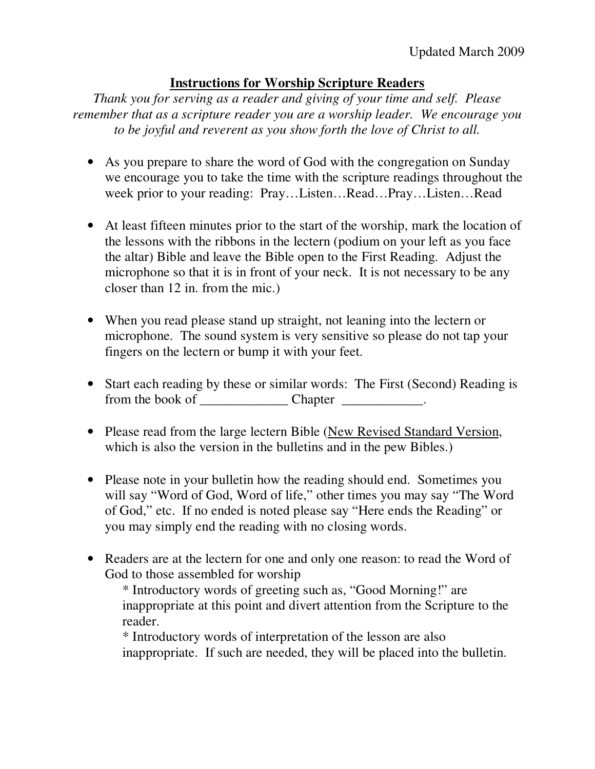## **Instructions for Worship Scripture Readers**

*Thank you for serving as a reader and giving of your time and self. Please remember that as a scripture reader you are a worship leader. We encourage you to be joyful and reverent as you show forth the love of Christ to all.* 

- As you prepare to share the word of God with the congregation on Sunday we encourage you to take the time with the scripture readings throughout the week prior to your reading: Pray…Listen…Read…Pray…Listen…Read
- At least fifteen minutes prior to the start of the worship, mark the location of the lessons with the ribbons in the lectern (podium on your left as you face the altar) Bible and leave the Bible open to the First Reading. Adjust the microphone so that it is in front of your neck. It is not necessary to be any closer than 12 in. from the mic.)
- When you read please stand up straight, not leaning into the lectern or microphone. The sound system is very sensitive so please do not tap your fingers on the lectern or bump it with your feet.
- Start each reading by these or similar words: The First (Second) Reading is from the book of \_\_\_\_\_\_\_\_\_\_\_\_\_ Chapter \_\_\_\_\_\_\_\_\_\_\_\_.
- Please read from the large lectern Bible (New Revised Standard Version, which is also the version in the bulletins and in the pew Bibles.)
- Please note in your bulletin how the reading should end. Sometimes you will say "Word of God, Word of life," other times you may say "The Word of God," etc. If no ended is noted please say "Here ends the Reading" or you may simply end the reading with no closing words.
- Readers are at the lectern for one and only one reason: to read the Word of God to those assembled for worship

\* Introductory words of greeting such as, "Good Morning!" are inappropriate at this point and divert attention from the Scripture to the reader.

\* Introductory words of interpretation of the lesson are also inappropriate. If such are needed, they will be placed into the bulletin.